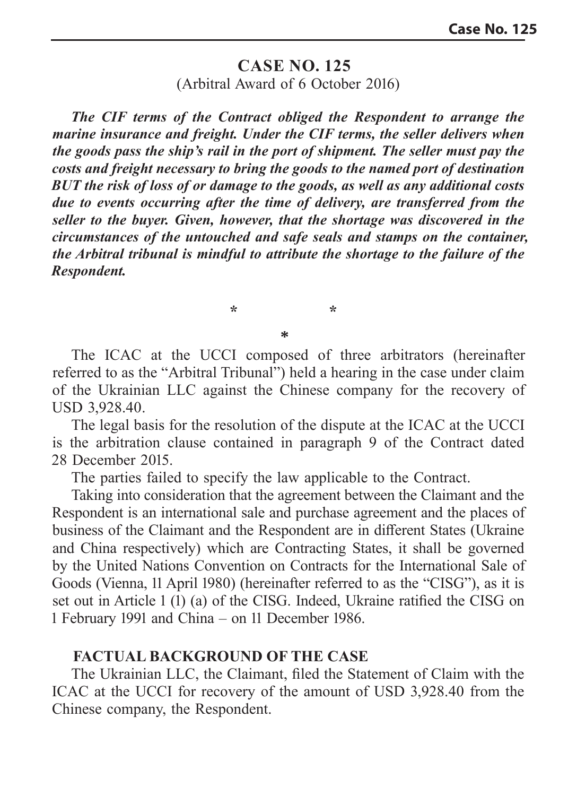## **CASE NO. 125** (Arbitral Award of 6 October 2016)

*The CIF terms of the Contract obliged the Respondent to arrange the marine insurance and freight. Under the CIF terms, the seller delivers when the goods pass the ship's rail in the port of shipment. The seller must pay the costs and freight necessary to bring the goods to the named port of destination BUT the risk of loss of or damage to the goods, as well as any additional costs due to events occurring after the time of delivery, are transferred from the seller to the buyer. Given, however, that the shortage was discovered in the circumstances of the untouched and safe seals and stamps on the container, the Arbitral tribunal is mindful to attribute the shortage to the failure of the Respondent.* 

The ICAC at the UCCI composed of three arbitrators (hereinafter referred to as the "Arbitral Tribunal") held a hearing in the case under claim of the Ukrainian LLC against the Chinese company for the recovery of USD 3,928.40.

**\* \* \***

The legal basis for the resolution of the dispute at the ICAC at the UCCI is the arbitration clause contained in paragraph 9 of the Contract dated 28 December 2015.

The parties failed to specify the law applicable to the Contract.

Taking into consideration that the agreement between the Claimant and the Respondent is an international sale and purchase agreement and the places of business of the Claimant and the Respondent are in different States (Ukraine and China respectively) which are Contracting States, it shall be governed by the United Nations Convention on Contracts for the International Sale of Goods (Vienna, 11 April 1980) (hereinafter referred to as the "CISG"), as it is set out in Article 1 (1) (a) of the CISG. Indeed, Ukraine ratified the CISG on 1 February 1991 and China – on 11 December 1986.

## **FACTUAL BACKGROUND OF THE CASE**

The Ukrainian LLC, the Claimant, filed the Statement of Claim with the ICAC at the UCCI for recovery of the amount of USD 3,928.40 from the Chinese company, the Respondent.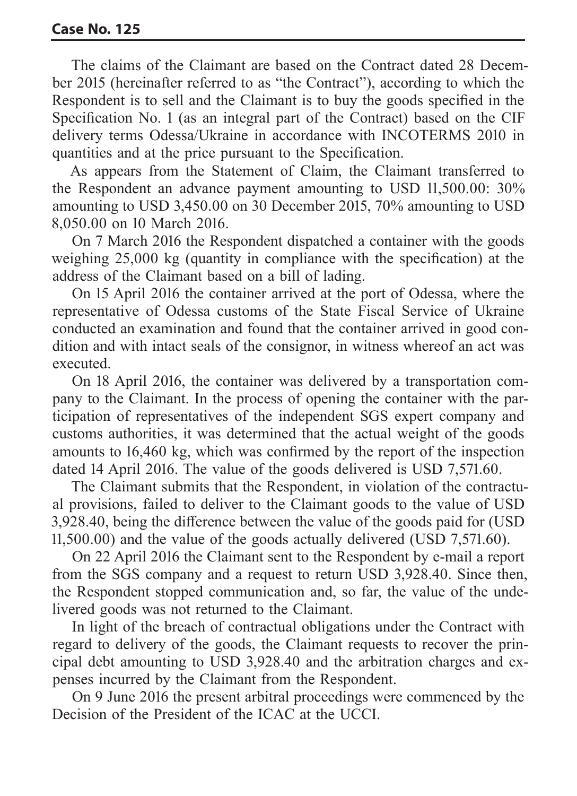The claims of the Claimant are based on the Contract dated 28 December 2015 (hereinafter referred to as "the Contract"), according to which the Respondent is to sell and the Claimant is to buy the goods specified in the Specification No. 1 (as an integral part of the Contract) based on the CIF delivery terms Odessa/Ukraine in accordance with INCOTERMS 2010 in quantities and at the price pursuant to the Specification.

As appears from the Statement of Claim, the Claimant transferred to the Respondent an advance payment amounting to USD 11,500.00: 30% amounting to USD 3,450.00 on 30 December 2015, 70% amounting to USD 8,050.00 on 10 March 2016.

On 7 March 2016 the Respondent dispatched a container with the goods weighing 25,000 kg (quantity in compliance with the specification) at the address of the Claimant based on a bill of lading.

On 15 April 2016 the container arrived at the port of Odessa, where the representative of Odessa customs of the State Fiscal Service of Ukraine conducted an examination and found that the container arrived in good condition and with intact seals of the consignor, in witness whereof an act was executed.

On 18 April 2016, the container was delivered by a transportation company to the Claimant. In the process of opening the container with the participation of representatives of the independent SGS expert company and customs authorities, it was determined that the actual weight of the goods amounts to 16,460 kg, which was confirmed by the report of the inspection dated 14 April 2016. The value of the goods delivered is USD 7,571.60.

The Claimant submits that the Respondent, in violation of the contractual provisions, failed to deliver to the Claimant goods to the value of USD 3,928.40, being the difference between the value of the goods paid for (USD 11,500.00) and the value of the goods actually delivered (USD 7,571.60).

On 22 April 2016 the Claimant sent to the Respondent by e-mail a report from the SGS company and a request to return USD 3,928.40. Since then, the Respondent stopped communication and, so far, the value of the undelivered goods was not returned to the Claimant.

In light of the breach of contractual obligations under the Contract with regard to delivery of the goods, the Claimant requests to recover the principal debt amounting to USD 3,928.40 and the arbitration charges and expenses incurred by the Claimant from the Respondent.

On 9 June 2016 the present arbitral proceedings were commenced by the Decision of the President of the ICAC at the UCCI.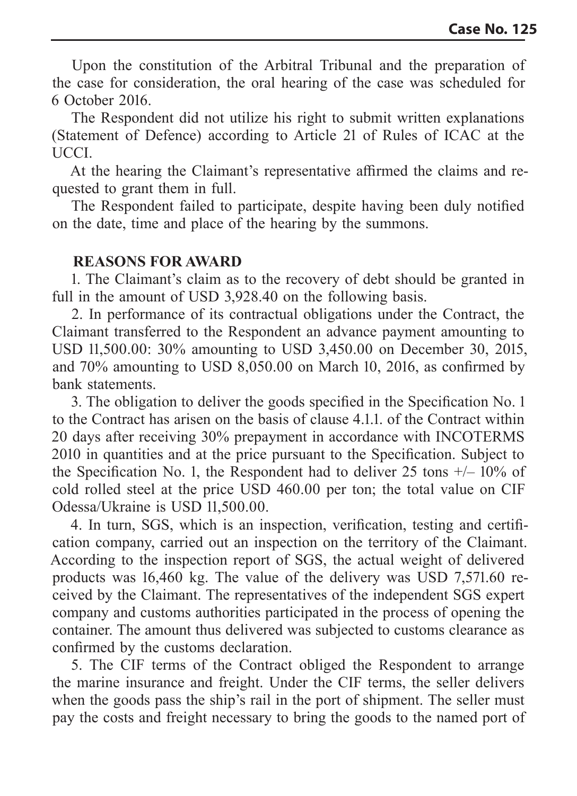Upon the constitution of the Arbitral Tribunal and the preparation of the case for consideration, the oral hearing of the case was scheduled for 6 October 2016.

The Respondent did not utilize his right to submit written explanations (Statement of Defence) according to Article 21 of Rules of ICAC at the UCCI.

At the hearing the Claimant's representative affirmed the claims and requested to grant them in full.

The Respondent failed to participate, despite having been duly notified on the date, time and place of the hearing by the summons.

## **REASONS FOR AWARD**

1. The Claimant's claim as to the recovery of debt should be granted in full in the amount of USD 3,928.40 on the following basis.

2. In performance of its contractual obligations under the Contract, the Claimant transferred to the Respondent an advance payment amounting to USD 11,500.00: 30% amounting to USD 3,450.00 on December 30, 2015, and 70% amounting to USD 8,050.00 on March 10, 2016, as confirmed by bank statements.

3. The obligation to deliver the goods specified in the Specification No. 1 to the Contract has arisen on the basis of clause 4.1.1. of the Contract within 20 days after receiving 30% prepayment in accordance with INCOTERMS 2010 in quantities and at the price pursuant to the Specification. Subject to the Specification No. 1, the Respondent had to deliver 25 tons  $+/- 10\%$  of cold rolled steel at the price USD 460.00 per ton; the total value on CIF Odessa/Ukraine is USD 11,500.00.

4. In turn, SGS, which is an inspection, verification, testing and certification company, carried out an inspection on the territory of the Claimant. According to the inspection report of SGS, the actual weight of delivered products was 16,460 kg. The value of the delivery was USD 7,571.60 received by the Claimant. The representatives of the independent SGS expert company and customs authorities participated in the process of opening the container. The amount thus delivered was subjected to customs clearance as confirmed by the customs declaration.

5. The CIF terms of the Contract obliged the Respondent to arrange the marine insurance and freight. Under the CIF terms, the seller delivers when the goods pass the ship's rail in the port of shipment. The seller must pay the costs and freight necessary to bring the goods to the named port of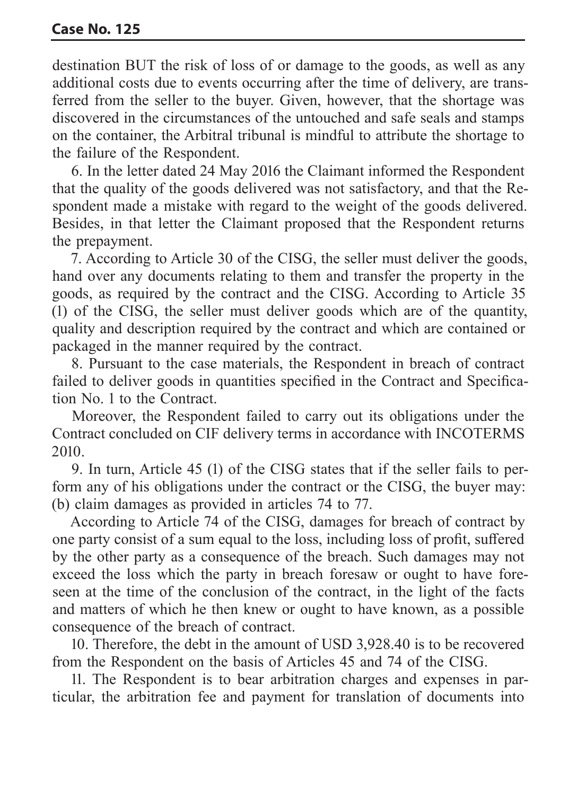destination BUT the risk of loss of or damage to the goods, as well as any additional costs due to events occurring after the time of delivery, are transferred from the seller to the buyer. Given, however, that the shortage was discovered in the circumstances of the untouched and safe seals and stamps on the container, the Arbitral tribunal is mindful to attribute the shortage to the failure of the Respondent.

6. In the letter dated 24 May 2016 the Claimant informed the Respondent that the quality of the goods delivered was not satisfactory, and that the Respondent made a mistake with regard to the weight of the goods delivered. Besides, in that letter the Claimant proposed that the Respondent returns the prepayment.

7. According to Article 30 of the CISG, the seller must deliver the goods, hand over any documents relating to them and transfer the property in the goods, as required by the contract and the CISG. According to Article 35 (1) of the CISG, the seller must deliver goods which are of the quantity, quality and description required by the contract and which are contained or packaged in the manner required by the contract.

8. Pursuant to the case materials, the Respondent in breach of contract failed to deliver goods in quantities specified in the Contract and Specification No. 1 to the Contract.

Moreover, the Respondent failed to carry out its obligations under the Contract concluded on CIF delivery terms in accordance with INCOTERMS 2010.

9. In turn, Article 45 (1) of the CISG states that if the seller fails to perform any of his obligations under the contract or the CISG, the buyer may: (b) claim damages as provided in articles 74 to 77.

According to Article 74 of the CISG, damages for breach of contract by one party consist of a sum equal to the loss, including loss of profit, suffered by the other party as a consequence of the breach. Such damages may not exceed the loss which the party in breach foresaw or ought to have foreseen at the time of the conclusion of the contract, in the light of the facts and matters of which he then knew or ought to have known, as a possible consequence of the breach of contract.

10. Therefore, the debt in the amount of USD 3,928.40 is to be recovered from the Respondent on the basis of Articles 45 and 74 of the CISG.

11. The Respondent is to bear arbitration charges and expenses in particular, the arbitration fee and payment for translation of documents into